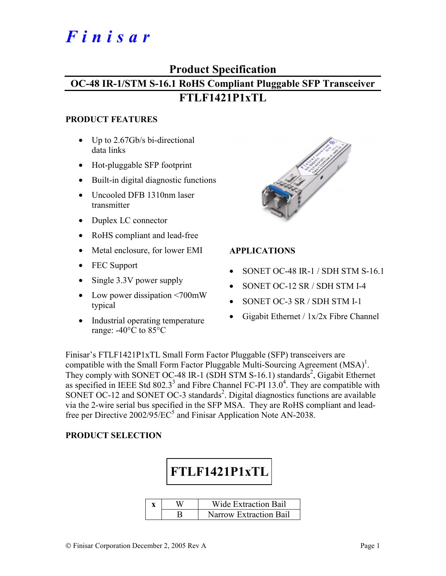# *Finisar*

# **Product Specification**

# **OC-48 IR-1/STM S-16.1 RoHS Compliant Pluggable SFP Transceiver FTLF1421P1xTL**

#### **PRODUCT FEATURES**

- Up to 2.67Gb/s bi-directional data links
- Hot-pluggable SFP footprint
- Built-in digital diagnostic functions
- Uncooled DFB 1310nm laser transmitter
- Duplex LC connector
- RoHS compliant and lead-free
- Metal enclosure, for lower EMI
- FEC Support
- Single 3.3V power supply
- Low power dissipation <700mW typical
- Industrial operating temperature range: -40°C to 85°C



## **APPLICATIONS**

- SONET OC-48 IR-1 / SDH STM S-16.1
- SONET OC-12 SR / SDH STM I-4
- SONET OC-3 SR / SDH STM I-1
- Gigabit Ethernet /  $1x/2x$  Fibre Channel

Finisar's FTLF1421P1xTL Small Form Factor Pluggable (SFP) transceivers are compatible with the Small Form Factor Pluggable Multi-Sourcing Agreement  $(MSA)^{1}$ . They comply with SONET OC-48 IR-1 (SDH STM S-16.1) standards<sup>2</sup>, Gigabit Ethernet as specified in IEEE Std 802.3<sup>3</sup> and Fibre Channel FC-PI  $13.0<sup>4</sup>$ . They are compatible with SONET OC-12 and SONET OC-3 standards<sup>2</sup>. Digital diagnostics functions are available via the 2-wire serial bus specified in the SFP MSA. They are RoHS compliant and leadfree per Directive  $2002/95/EC^5$  and Finisar Application Note AN-2038.

## **PRODUCT SELECTION**



|  | Wide Extraction Bail          |
|--|-------------------------------|
|  | <b>Narrow Extraction Bail</b> |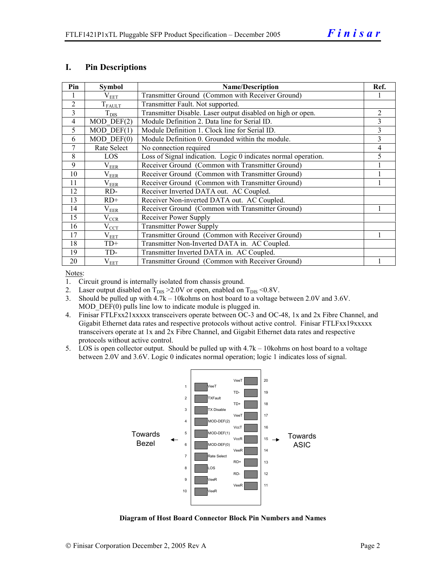#### **I. Pin Descriptions**

| Pin            | <b>Symbol</b>    | <b>Name/Description</b>                                        |                |  |  |
|----------------|------------------|----------------------------------------------------------------|----------------|--|--|
|                | $\rm V_{EET}$    | Transmitter Ground (Common with Receiver Ground)               |                |  |  |
| $\overline{2}$ | $T_{FALLT}$      | Transmitter Fault. Not supported.                              |                |  |  |
| 3              | $T_{\text{DIS}}$ | Transmitter Disable. Laser output disabled on high or open.    | $\overline{c}$ |  |  |
| $\overline{4}$ | $MOD$ DEF $(2)$  | Module Definition 2. Data line for Serial ID.                  | 3              |  |  |
| 5              | $MOD$ DEF $(1)$  | Module Definition 1. Clock line for Serial ID.                 | 3              |  |  |
| 6              | $MOD$ $DEF(0)$   | Module Definition 0. Grounded within the module.               | 3              |  |  |
| 7              | Rate Select      | No connection required                                         | 4              |  |  |
| 8              | LOS              | Loss of Signal indication. Logic 0 indicates normal operation. |                |  |  |
| 9              | $\rm V_{EER}$    | Receiver Ground (Common with Transmitter Ground)               |                |  |  |
| 10             | $\rm V_{EER}$    | Receiver Ground (Common with Transmitter Ground)               |                |  |  |
| 11             | $\rm V_{EER}$    | Receiver Ground (Common with Transmitter Ground)               |                |  |  |
| 12             | RD-              | Receiver Inverted DATA out. AC Coupled.                        |                |  |  |
| 13             | $RD+$            | Receiver Non-inverted DATA out. AC Coupled.                    |                |  |  |
| 14             | $\rm V_{EER}$    | Receiver Ground (Common with Transmitter Ground)               |                |  |  |
| 15             | $\rm V_{CCR}$    | Receiver Power Supply                                          |                |  |  |
| 16             | $V_{\rm CCT}$    | <b>Transmitter Power Supply</b>                                |                |  |  |
| 17             | $\rm V_{EET}$    | Transmitter Ground (Common with Receiver Ground)               |                |  |  |
| 18             | $TD+$            | Transmitter Non-Inverted DATA in. AC Coupled.                  |                |  |  |
| 19             | TD-              | Transmitter Inverted DATA in. AC Coupled.                      |                |  |  |
| 20             | $\rm V_{EET}$    | Transmitter Ground (Common with Receiver Ground)               |                |  |  |

Notes:

- 1. Circuit ground is internally isolated from chassis ground.
- 2. Laser output disabled on  $T_{DIS} > 2.0V$  or open, enabled on  $T_{DIS} < 0.8V$ .
- 3. Should be pulled up with  $4.7k 10kohn$ s on host board to a voltage between 2.0V and 3.6V. MOD DEF(0) pulls line low to indicate module is plugged in.
- 4. Finisar FTLFxx21xxxxx transceivers operate between OC-3 and OC-48, 1x and 2x Fibre Channel, and Gigabit Ethernet data rates and respective protocols without active control. Finisar FTLFxx19xxxxx transceivers operate at 1x and 2x Fibre Channel, and Gigabit Ethernet data rates and respective protocols without active control.
- 5. LOS is open collector output. Should be pulled up with 4.7k 10kohms on host board to a voltage between 2.0V and 3.6V. Logic 0 indicates normal operation; logic 1 indicates loss of signal.



**Diagram of Host Board Connector Block Pin Numbers and Names**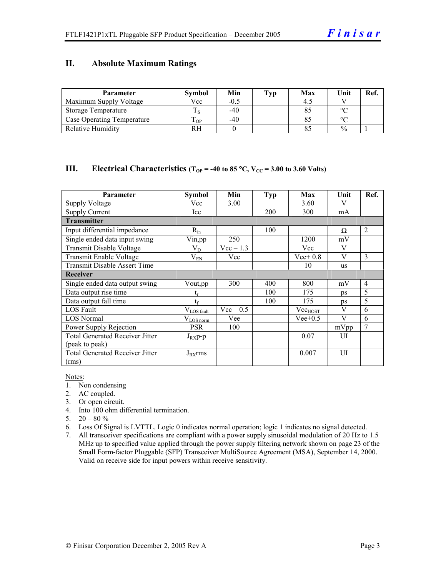#### **II. Absolute Maximum Ratings**

| <b>Parameter</b>                  | <b>Symbol</b> | Min    | Tvp | Max | Unit          | Ref. |
|-----------------------------------|---------------|--------|-----|-----|---------------|------|
| Maximum Supply Voltage            | Vcc           | $-0.5$ |     |     |               |      |
| Storage Temperature               |               | $-40$  |     |     | $\circ$       |      |
| <b>Case Operating Temperature</b> | m<br>OP.      | $-40$  |     |     | $\sim$        |      |
| <b>Relative Humidity</b>          | RН            |        |     |     | $\frac{0}{0}$ |      |

#### **III.** Electrical Characteristics ( $T_{OP}$  = -40 to 85 °C,  $V_{CC}$  = 3.00 to 3.60 Volts)

| Parameter                              | Symbol                 | Min         | <b>Typ</b> | Max                 | Unit | Ref.           |
|----------------------------------------|------------------------|-------------|------------|---------------------|------|----------------|
| <b>Supply Voltage</b>                  | Vcc                    | 3.00        |            | 3.60                | V    |                |
| <b>Supply Current</b>                  | Icc                    |             | 200        | 300                 | mA   |                |
| <b>Transmitter</b>                     |                        |             |            |                     |      |                |
| Input differential impedance           | $R_{in}$               |             | 100        |                     | Ω    | 2              |
| Single ended data input swing          | Vin, pp                | 250         |            | 1200                | mV   |                |
| Transmit Disable Voltage               | $V_D$                  | $Vec-1.3$   |            | Vcc                 | V    |                |
| Transmit Enable Voltage                | $V_{EN}$               | Vee         |            | $Vee+0.8$           | V    | 3              |
| <b>Transmit Disable Assert Time</b>    |                        |             |            | 10                  | us   |                |
| <b>Receiver</b>                        |                        |             |            |                     |      |                |
| Single ended data output swing         | Vout,pp                | 300         | 400        | 800                 | mV   | $\overline{4}$ |
| Data output rise time                  |                        |             | 100        | 175                 | ps   | 5              |
| Data output fall time                  | $t_{\rm f}$            |             | 100        | 175                 | ps   | 5              |
| LOS Fault                              | $V_{\text{LOS fault}}$ | $Vec - 0.5$ |            | Vec <sub>HOST</sub> | V    | 6              |
| <b>LOS Normal</b>                      | $V_{LOS\,norm}$        | Vee         |            | $Vee+0.5$           | V    | 6              |
| Power Supply Rejection                 | <b>PSR</b>             | 100         |            |                     | mVpp |                |
| <b>Total Generated Receiver Jitter</b> | $J_{RX}p-p$            |             |            | 0.07                | UI   |                |
| (peak to peak)                         |                        |             |            |                     |      |                |
| <b>Total Generated Receiver Jitter</b> | $J_{RX}$ rms           |             |            | 0.007               | UI   |                |
| (rms)                                  |                        |             |            |                     |      |                |

Notes:

- 1. Non condensing
- 2. AC coupled.
- 3. Or open circuit.
- 4. Into 100 ohm differential termination.
- 5.  $20 80 \%$
- 6. Loss Of Signal is LVTTL. Logic 0 indicates normal operation; logic 1 indicates no signal detected.
- 7. All transceiver specifications are compliant with a power supply sinusoidal modulation of 20 Hz to 1.5 MHz up to specified value applied through the power supply filtering network shown on page 23 of the Small Form-factor Pluggable (SFP) Transceiver MultiSource Agreement (MSA), September 14, 2000. Valid on receive side for input powers within receive sensitivity.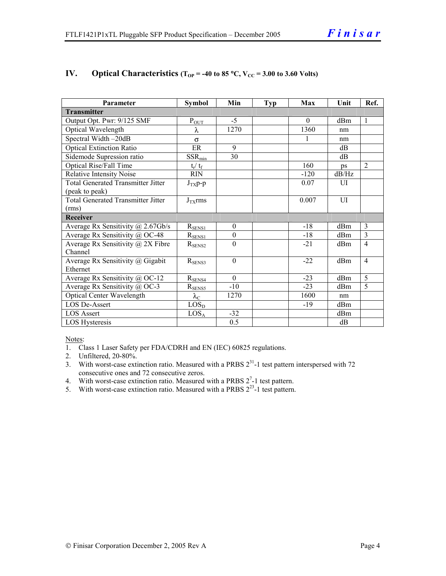| Parameter                                 | <b>Symbol</b>           | Min              | <b>Typ</b> | Max      | Unit           | Ref.           |
|-------------------------------------------|-------------------------|------------------|------------|----------|----------------|----------------|
| <b>Transmitter</b>                        |                         |                  |            |          |                |                |
| Output Opt. Pwr: 9/125 SMF                | $P_{OUT}$               | $-5$             |            | $\Omega$ | dBm            | $\mathbf{1}$   |
| Optical Wavelength                        | λ                       | 1270             |            | 1360     | nm             |                |
| Spectral Width-20dB                       | $\sigma$                |                  |            |          | nm             |                |
| <b>Optical Extinction Ratio</b>           | ER                      | 9                |            |          | dB             |                |
| Sidemode Supression ratio                 | $SSR_{min}$             | 30               |            |          | dB             |                |
| Optical Rise/Fall Time                    | $t_{\rm r} / t_{\rm f}$ |                  |            | 160      | ps             | $\overline{2}$ |
| <b>Relative Intensity Noise</b>           | <b>RIN</b>              |                  |            | $-120$   | dB/Hz          |                |
| <b>Total Generated Transmitter Jitter</b> | $J_{TX}p-p$             |                  |            | 0.07     | $\overline{U}$ |                |
| (peak to peak)                            |                         |                  |            |          |                |                |
| <b>Total Generated Transmitter Jitter</b> | $J_{TX}$ rms            |                  |            | 0.007    | $\overline{U}$ |                |
| (rms)                                     |                         |                  |            |          |                |                |
| <b>Receiver</b>                           |                         |                  |            |          |                |                |
| Average Rx Sensitivity $\omega$ 2.67Gb/s  | $R_{\frac{SENS1}{2}}$   | $\boldsymbol{0}$ |            | $-18$    | dBm            | 3              |
| Average Rx Sensitivity @ OC-48            | $R_{SENS1}$             | $\boldsymbol{0}$ |            | $-18$    | dBm            | $\overline{3}$ |
| Average Rx Sensitivity $(a)$ 2X Fibre     | $R_{\rm SENS2}$         | $\mathbf{0}$     |            | $-21$    | dBm            | $\overline{4}$ |
| Channel                                   |                         |                  |            |          |                |                |
| Average Rx Sensitivity @ Gigabit          | $R_{\text{SENS3}}$      | $\mathbf{0}$     |            | $-22$    | dBm            | $\overline{4}$ |
| Ethernet                                  |                         |                  |            |          |                |                |
| Average Rx Sensitivity @ OC-12            | $R_{SENS4}$             | $\Omega$         |            | $-23$    | dBm            | 5              |
| Average Rx Sensitivity @ OC-3             | $R_{SENS5}$             | $-10$            |            | $-23$    | dBm            | $\overline{5}$ |
| Optical Center Wavelength                 | $\lambda_{\rm C}$       | 1270             |            | 1600     | nm             |                |
| <b>LOS De-Assert</b>                      | LOS <sub>D</sub>        |                  |            | $-19$    | dBm            |                |
| <b>LOS Assert</b>                         | LOS <sub>A</sub>        | $-32$            |            |          | dBm            |                |
| LOS Hysteresis                            |                         | 0.5              |            |          | dB             |                |

## **IV.** Optical Characteristics ( $T_{OP}$  = -40 to 85 °C,  $V_{CC}$  = 3.00 to 3.60 Volts)

Notes:

1. Class 1 Laser Safety per FDA/CDRH and EN (IEC) 60825 regulations.

2. Unfiltered, 20-80%.

- 3. With worst-case extinction ratio. Measured with a PRBS  $2^{31}$ -1 test pattern interspersed with 72 consecutive ones and 72 consecutive zeros.
- 4. With worst-case extinction ratio. Measured with a PRBS  $2^7$ -1 test pattern.
- 5. With worst-case extinction ratio. Measured with a PRBS  $2^{23}$ -1 test pattern.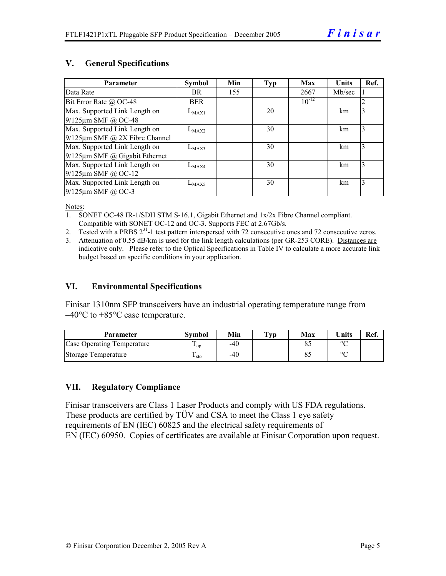#### **V. General Specifications**

| Parameter                            | <b>Symbol</b> | Min | Typ | Max        | <b>Units</b> | Ref. |
|--------------------------------------|---------------|-----|-----|------------|--------------|------|
| Data Rate                            | BR.           | 155 |     | 2667       | Mb/sec       |      |
| Bit Error Rate $\omega$ OC-48        | <b>BER</b>    |     |     | $10^{-12}$ |              | 2    |
| Max. Supported Link Length on        | $L_{MAX1}$    |     | 20  |            | km           | 3    |
| 9/125µm SMF @ OC-48                  |               |     |     |            |              |      |
| Max. Supported Link Length on        | $L_{MAX2}$    |     | 30  |            | km           | 3    |
| $9/125 \mu m$ SMF @ 2X Fibre Channel |               |     |     |            |              |      |
| Max. Supported Link Length on        | $L_{MAX3}$    |     | 30  |            | km           | 3    |
| $9/125 \mu m$ SMF @ Gigabit Ethernet |               |     |     |            |              |      |
| Max. Supported Link Length on        | $L_{MAX4}$    |     | 30  |            | km           | 3    |
| $9/125 \mu m$ SMF @ OC-12            |               |     |     |            |              |      |
| Max. Supported Link Length on        | $L_{MAX5}$    |     | 30  |            | km           | 3    |
| $9/125$ µm SMF @ OC-3                |               |     |     |            |              |      |

Notes:

- 1. SONET OC-48 IR-1/SDH STM S-16.1, Gigabit Ethernet and 1x/2x Fibre Channel compliant. Compatible with SONET OC-12 and OC-3. Supports FEC at 2.67Gb/s.
- 2. Tested with a PRBS  $2^{31}$ -1 test pattern interspersed with 72 consecutive ones and 72 consecutive zeros.
- 3. Attenuation of 0.55 dB/km is used for the link length calculations (per GR-253 CORE). Distances are indicative only. Please refer to the Optical Specifications in Table IV to calculate a more accurate link budget based on specific conditions in your application.

#### **VI. Environmental Specifications**

Finisar 1310nm SFP transceivers have an industrial operating temperature range from  $-40^{\circ}$ C to  $+85^{\circ}$ C case temperature.

| Parameter                  | Svmbol          | Min | $\mathbf{T}_{\mathbf{V}\mathbf{p}}$ | Max | <b>Units</b> | Ref. |
|----------------------------|-----------------|-----|-------------------------------------|-----|--------------|------|
| Case Operating Temperature | <sup>L</sup> OD | -40 |                                     |     | $\circ$      |      |
| Storage Temperature        | sto             | -40 |                                     |     | $\sim$       |      |

## **VII. Regulatory Compliance**

Finisar transceivers are Class 1 Laser Products and comply with US FDA regulations. These products are certified by TÜV and CSA to meet the Class 1 eye safety requirements of EN (IEC) 60825 and the electrical safety requirements of EN (IEC) 60950. Copies of certificates are available at Finisar Corporation upon request.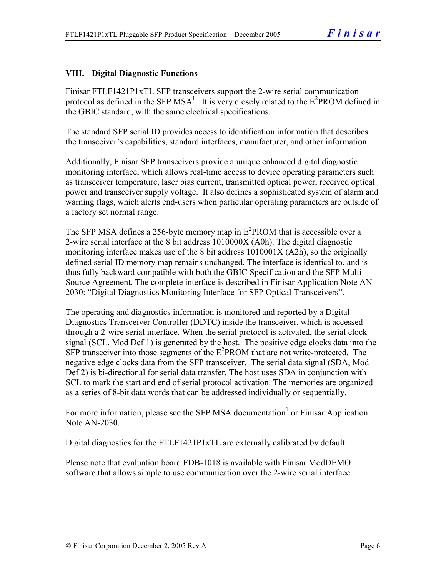# **VIII. Digital Diagnostic Functions**

Finisar FTLF1421P1xTL SFP transceivers support the 2-wire serial communication protocol as defined in the SFP MSA<sup>1</sup>. It is very closely related to the  $E^2$ PROM defined in the GBIC standard, with the same electrical specifications.

The standard SFP serial ID provides access to identification information that describes the transceiver's capabilities, standard interfaces, manufacturer, and other information.

Additionally, Finisar SFP transceivers provide a unique enhanced digital diagnostic monitoring interface, which allows real-time access to device operating parameters such as transceiver temperature, laser bias current, transmitted optical power, received optical power and transceiver supply voltage. It also defines a sophisticated system of alarm and warning flags, which alerts end-users when particular operating parameters are outside of a factory set normal range.

The SFP MSA defines a 256-byte memory map in  $E^2$ PROM that is accessible over a 2-wire serial interface at the 8 bit address 1010000X (A0h). The digital diagnostic monitoring interface makes use of the 8 bit address 1010001X (A2h), so the originally defined serial ID memory map remains unchanged. The interface is identical to, and is thus fully backward compatible with both the GBIC Specification and the SFP Multi Source Agreement. The complete interface is described in Finisar Application Note AN-2030: "Digital Diagnostics Monitoring Interface for SFP Optical Transceivers".

The operating and diagnostics information is monitored and reported by a Digital Diagnostics Transceiver Controller (DDTC) inside the transceiver, which is accessed through a 2-wire serial interface. When the serial protocol is activated, the serial clock signal (SCL, Mod Def 1) is generated by the host. The positive edge clocks data into the  $SFP$  transceiver into those segments of the  $E^2$ PROM that are not write-protected. The negative edge clocks data from the SFP transceiver. The serial data signal (SDA, Mod Def 2) is bi-directional for serial data transfer. The host uses SDA in conjunction with SCL to mark the start and end of serial protocol activation. The memories are organized as a series of 8-bit data words that can be addressed individually or sequentially.

For more information, please see the SFP MSA documentation<sup>1</sup> or Finisar Application Note AN-2030.

Digital diagnostics for the FTLF1421P1xTL are externally calibrated by default.

Please note that evaluation board FDB-1018 is available with Finisar ModDEMO software that allows simple to use communication over the 2-wire serial interface.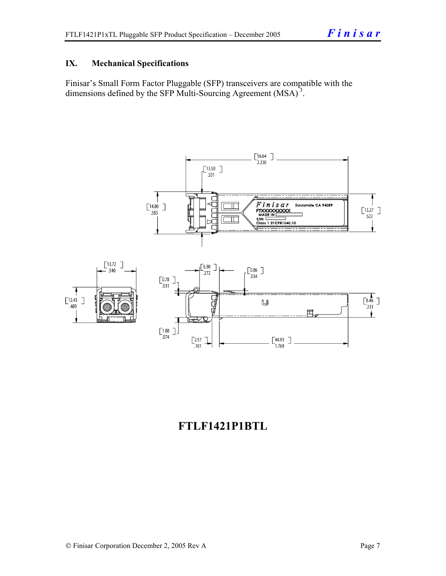## **IX. Mechanical Specifications**

Finisar's Small Form Factor Pluggable (SFP) transceivers are compatible with the dimensions defined by the SFP Multi-Sourcing Agreement (MSA)<sup>3</sup>.



# **FTLF1421P1BTL**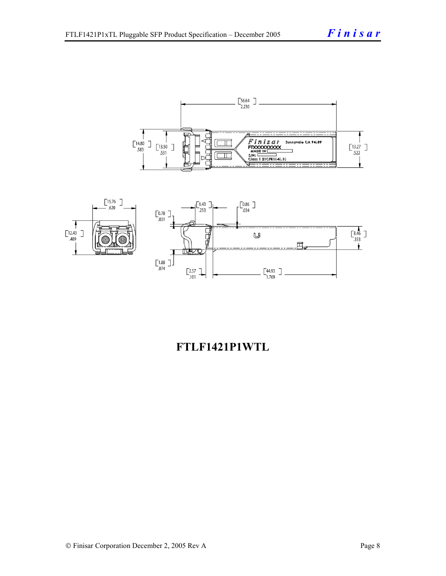



# **FTLF1421P1WTL**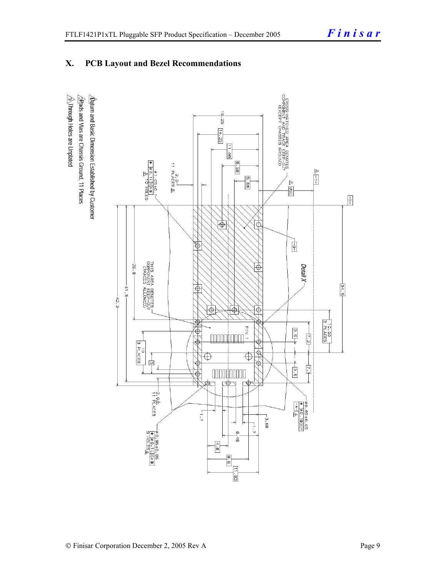# **X. PCB Layout and Bezel Recommendations**

 $\hat{\triangle}$ Through Holes are Unplated  $\Delta$ atum and Basic Dimension Established by Customer  $\triangle$ Rads and Vias are Chassis Ground, 11 Places

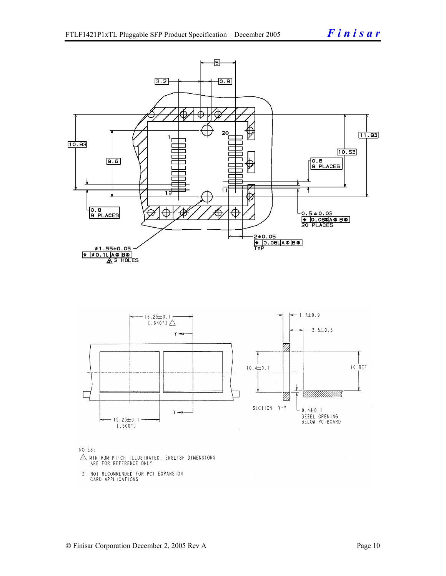

- $\triangle$  MINIMUM PITCH ILLUSTRATED, ENGLISH DIMENSIONS ARE FOR REFERENCE ONLY
- 2. NOT RECOMMENDED FOR PCI EXPANSION CARD APPLICATIONS